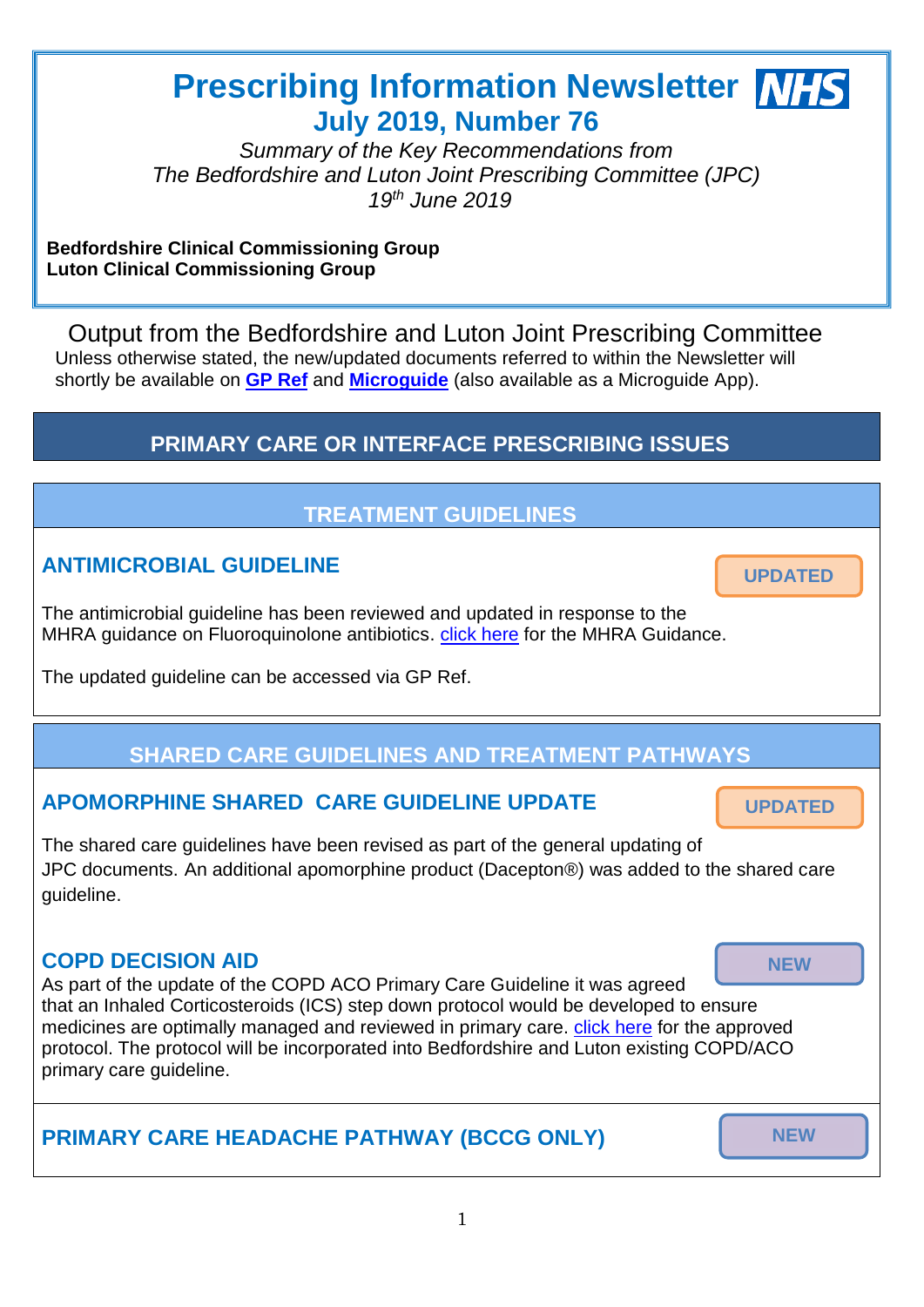# **Prescribing Information Newsletter MHS July 2019, Number 76**

*Summary of the Key Recommendations from The Bedfordshire and Luton Joint Prescribing Committee (JPC) 19th June 2019*

#### **Bedfordshire Clinical Commissioning Group Luton Clinical Commissioning Group**

Output from the Bedfordshire and Luton Joint Prescribing Committee Unless otherwise stated, the new/updated documents referred to within the Newsletter will shortly be available on **[GP Ref](http://www.gpref.bedfordshire.nhs.uk/referrals/bedfordshire-and-luton-joint-prescribing-committee-(jpc).aspx)** and **[Microguide](https://cms.horizonsp.co.uk/viewer/bedsccg/clinicalguidelines)** (also available as a Microguide App).

# **PRIMARY CARE OR INTERFACE PRESCRIBING ISSUES**

# **TREATMENT GUIDELINES**

### **ANTIMICROBIAL GUIDELINE**

The antimicrobial guideline has been reviewed and updated in response to the MHRA guidance on Fluoroquinolone antibiotics. [click here](https://assets.publishing.service.gov.uk/government/uploads/system/uploads/attachment_data/file/787952/March-2019-PDF-final.pdf) for the MHRA Guidance.

The updated guideline can be accessed via GP Ref.

# **SHARED CARE GUIDELINES AND TREATMENT PATHWAYS**

### **APOMORPHINE SHARED CARE GUIDELINE UPDATE**

The shared care guidelines have been revised as part of the general updating of JPC documents. An additional apomorphine product (Dacepton®) was added to the shared care guideline.

### **COPD DECISION AID**

As part of the update of the COPD ACO Primary Care Guideline it was agreed that an Inhaled Corticosteroids (ICS) step down protocol would be developed to ensure medicines are optimally managed and reviewed in primary care. *[click here](http://www.gpref.bedfordshire.nhs.uk/media/220578/bccglccg_inhaledsteroidstepdownprotocolcopd.pdf) for the approved* protocol. The protocol will be incorporated into Bedfordshire and Luton existing COPD/ACO primary care guideline.

# **PRIMARY CARE HEADACHE PATHWAY (BCCG ONLY)**

**NEW**

**UPDATED**

Ī.

**NEW**

**UPDATED**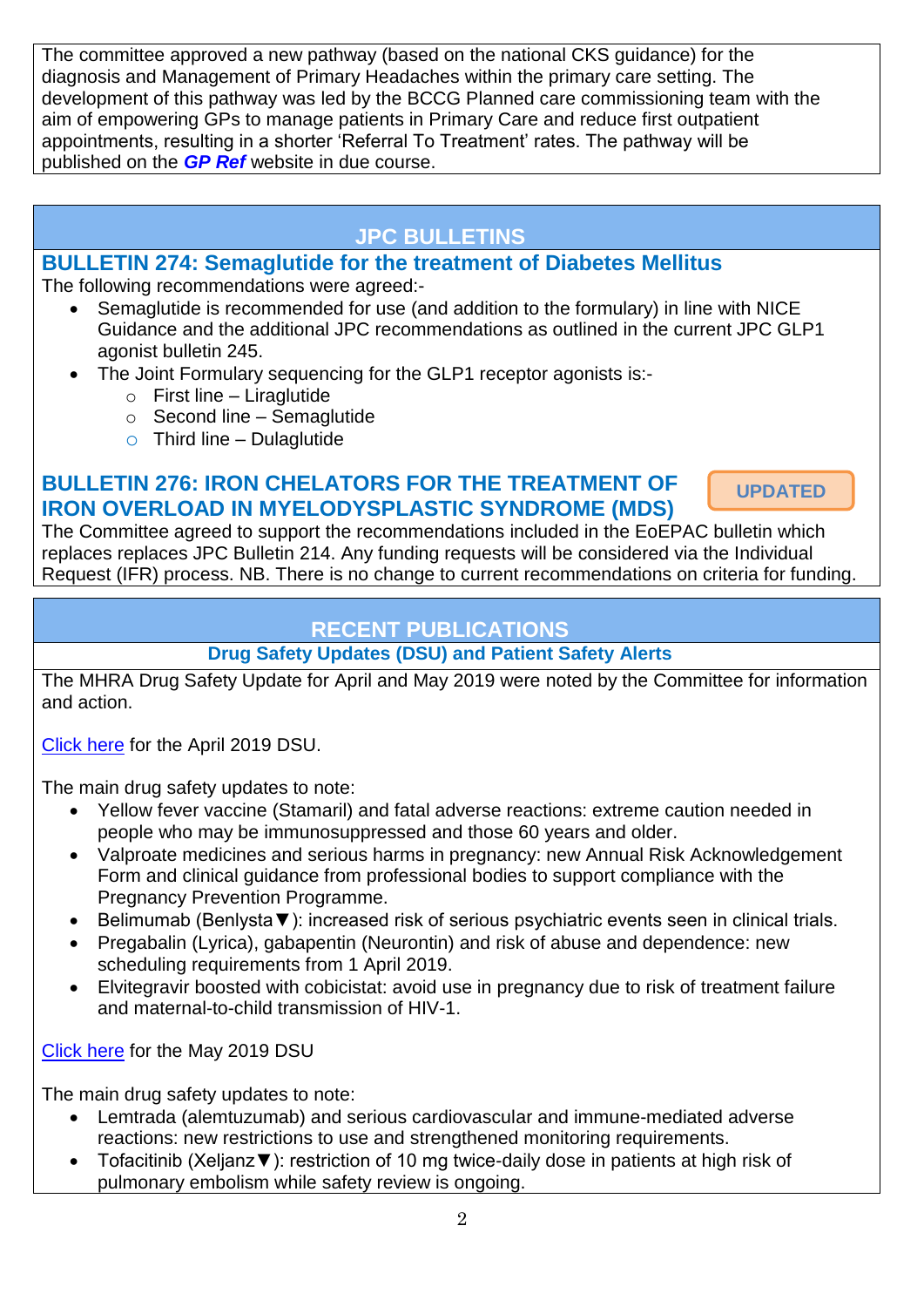The committee approved a new pathway (based on the national CKS guidance) for the diagnosis and Management of Primary Headaches within the primary care setting. The development of this pathway was led by the BCCG Planned care commissioning team with the aim of empowering GPs to manage patients in Primary Care and reduce first outpatient appointments, resulting in a shorter 'Referral To Treatment' rates. The pathway will be published on the *[GP Ref](http://www.gpref.bedfordshire.nhs.uk/referrals/bedfordshire-and-luton-joint-prescribing-committee-(jpc).aspx)* website in due course.

# **JPC BULLETINS**

### **BULLETIN 274: Semaglutide for the treatment of Diabetes Mellitus**

The following recommendations were agreed:-

- Semaglutide is recommended for use (and addition to the formulary) in line with NICE Guidance and the additional JPC recommendations as outlined in the current JPC GLP1 agonist bulletin 245.
- The Joint Formulary sequencing for the GLP1 receptor agonists is:-
	- $\circ$  First line Liraglutide
	- $\circ$  Second line Semaglutide
	- $\circ$  Third line Dulaglutide

### **BULLETIN 276: IRON CHELATORS FOR THE TREATMENT OF IRON OVERLOAD IN MYELODYSPLASTIC SYNDROME (MDS)**

**UPDATED**

The Committee agreed to support the recommendations included in the EoEPAC bulletin which replaces replaces JPC Bulletin 214. Any funding requests will be considered via the Individual Request (IFR) process. NB. There is no change to current recommendations on criteria for funding.

## **RECENT PUBLICATIONS**

### **Drug Safety Updates (DSU) and Patient Safety Alerts**

The MHRA Drug Safety Update for April and May 2019 were noted by the Committee for information and action.

[Click here](https://assets.publishing.service.gov.uk/government/uploads/system/uploads/attachment_data/file/795950/April-2019-PDF-final.pdf) for the April 2019 DSU.

The main drug safety updates to note:

- Yellow fever vaccine (Stamaril) and fatal adverse reactions: extreme caution needed in people who may be immunosuppressed and those 60 years and older.
- Valproate medicines and serious harms in pregnancy: new Annual Risk Acknowledgement Form and clinical guidance from professional bodies to support compliance with the Pregnancy Prevention Programme.
- Belimumab (Benlysta▼): increased risk of serious psychiatric events seen in clinical trials.
- Pregabalin (Lyrica), gabapentin (Neurontin) and risk of abuse and dependence: new scheduling requirements from 1 April 2019.
- Elvitegravir boosted with cobicistat: avoid use in pregnancy due to risk of treatment failure and maternal-to-child transmission of HIV-1.

[Click here](https://assets.publishing.service.gov.uk/government/uploads/system/uploads/attachment_data/file/802701/May-2019-PDF-DSU.pdf) for the May 2019 DSU

The main drug safety updates to note:

- Lemtrada (alemtuzumab) and serious cardiovascular and immune-mediated adverse reactions: new restrictions to use and strengthened monitoring requirements.
- Tofacitinib (Xeljanz▼): restriction of 10 mg twice-daily dose in patients at high risk of pulmonary embolism while safety review is ongoing.